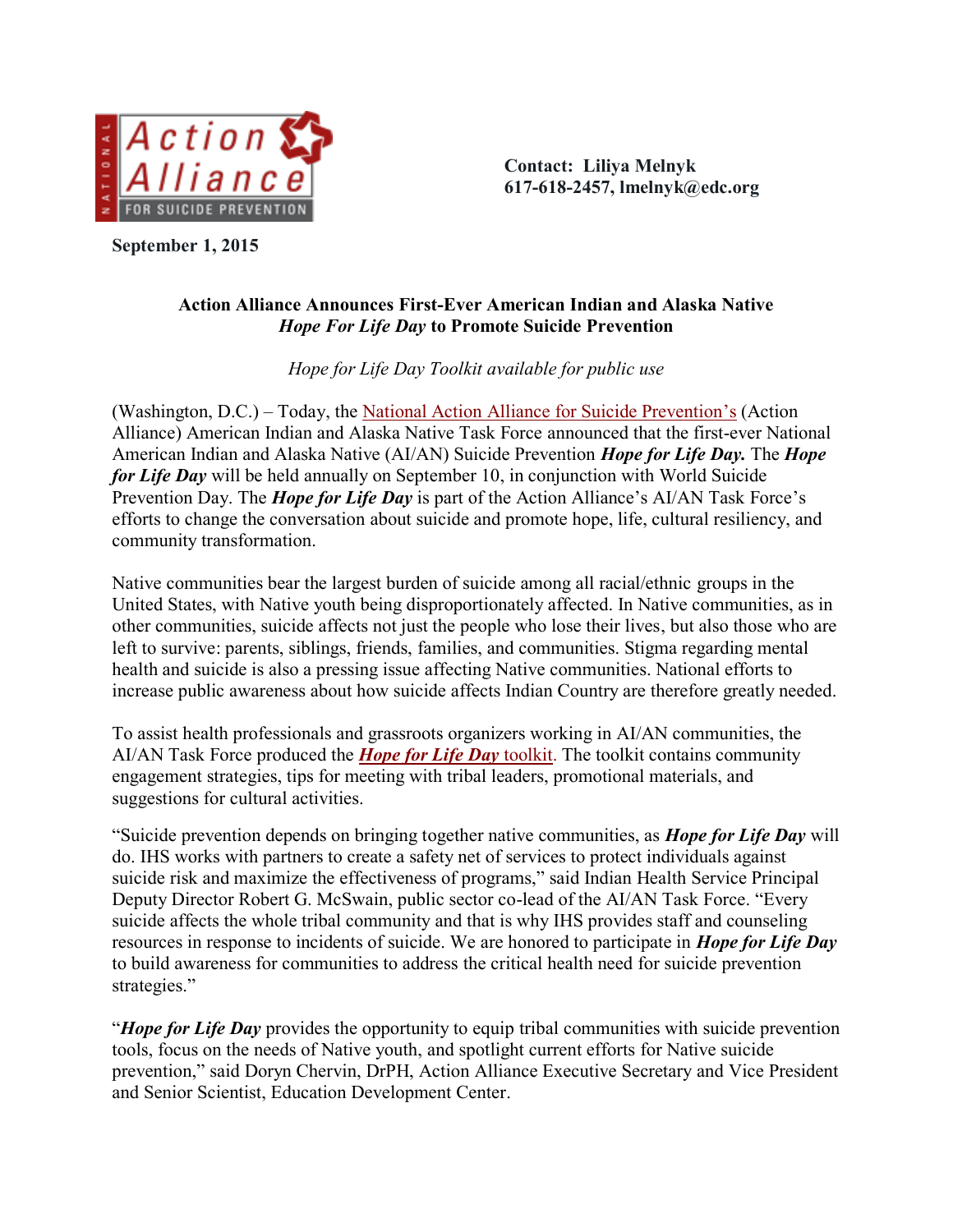

**September 1, 2015**

**Contact: Liliya Melnyk 617-618-2457, lmelnyk@edc.org**

## **Action Alliance Announces First-Ever American Indian and Alaska Native**  *Hope For Life Day* **to Promote Suicide Prevention**

*Hope for Life Day Toolkit available for public use*

(Washington, D.C.) – Today, the [National Action Alliance for Suicide Prevention](http://www.actionallianceforsuicideprevention.org/)'s (Action Alliance) American Indian and Alaska Native Task Force announced that the first-ever National American Indian and Alaska Native (AI/AN) Suicide Prevention *Hope for Life Day.* The *Hope for Life Day* will be held annually on September 10, in conjunction with World Suicide Prevention Day. The *Hope for Life Day* is part of the Action Alliance's AI/AN Task Force's efforts to change the conversation about suicide and promote hope, life, cultural resiliency, and community transformation.

Native communities bear the largest burden of suicide among all racial/ethnic groups in the United States, with Native youth being disproportionately affected. In Native communities, as in other communities, suicide affects not just the people who lose their lives, but also those who are left to survive: parents, siblings, friends, families, and communities. Stigma regarding mental health and suicide is also a pressing issue affecting Native communities. National efforts to increase public awareness about how suicide affects Indian Country are therefore greatly needed.

To assist health professionals and grassroots organizers working in AI/AN communities, the AI/AN Task Force produced the *[Hope for Life Day](http://actionallianceforsuicideprevention.org/task-force/aian2/hope-for-life)* toolkit. The toolkit contains community engagement strategies, tips for meeting with tribal leaders, promotional materials, and suggestions for cultural activities.

"Suicide prevention depends on bringing together native communities, as *Hope for Life Day* will do. IHS works with partners to create a safety net of services to protect individuals against suicide risk and maximize the effectiveness of programs," said Indian Health Service Principal Deputy Director Robert G. McSwain, public sector co-lead of the AI/AN Task Force. "Every suicide affects the whole tribal community and that is why IHS provides staff and counseling resources in response to incidents of suicide. We are honored to participate in *Hope for Life Day* to build awareness for communities to address the critical health need for suicide prevention strategies."

"*Hope for Life Day* provides the opportunity to equip tribal communities with suicide prevention tools, focus on the needs of Native youth, and spotlight current efforts for Native suicide prevention," said Doryn Chervin, DrPH, Action Alliance Executive Secretary and Vice President and Senior Scientist, Education Development Center.